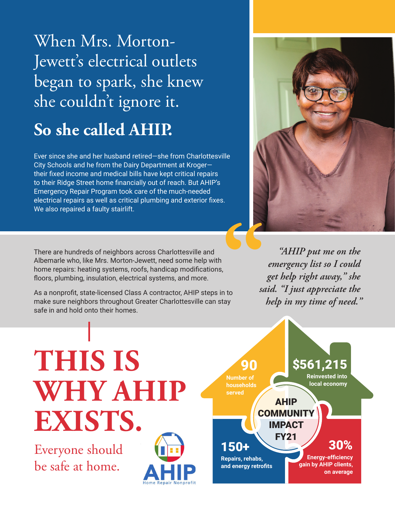# When Mrs. Morton-Jewett's electrical outlets began to spark, she knew she couldn't ignore it.

## **So she called AHIP.**

Ever since she and her husband retired—she from Charlottesville City Schools and he from the Dairy Department at Kroger their fixed income and medical bills have kept critical repairs to their Ridge Street home financially out of reach. But AHIP's Emergency Repair Program took care of the much-needed electrical repairs as well as critical plumbing and exterior fixes. We also repaired a faulty stairlift.



There are hundreds of neighbors across Charlottesville and Albemarle who, like Mrs. Morton-Jewett, need some help with home repairs: heating systems, roofs, handicap modifications, floors, plumbing, insulation, electrical systems, and more.

As a nonprofit, state-licensed Class A contractor, AHIP steps in to make sure neighbors throughout Greater Charlottesville can stay safe in and hold onto their homes.

*"AHIP put me on the emergency list so I could get help right away," she said. "I just appreciate the help in my time of need."*

# **THIS IS WHY AHIP EXISTS.**

Everyone should be safe at home.